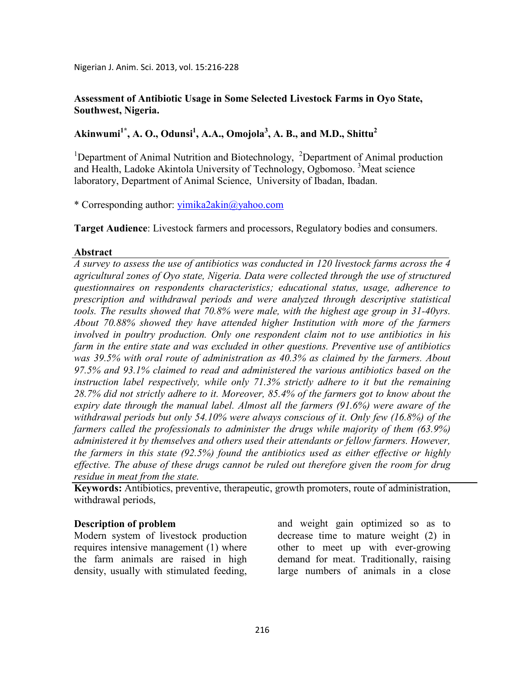## **Assessment of Antibiotic Usage in Some Selected Livestock Farms in Oyo State, Southwest, Nigeria.**

# **Akinwumi1\*, A. O., Odunsi<sup>1</sup> , A.A., Omojola<sup>3</sup> , A. B., and M.D., Shittu<sup>2</sup>**

<sup>1</sup>Department of Animal Nutrition and Biotechnology, <sup>2</sup>Department of Animal production and Health, Ladoke Akintola University of Technology, Ogbomoso.<sup>3</sup>Meat science laboratory, Department of Animal Science, University of Ibadan, Ibadan.

\* Corresponding author: yimika2akin@yahoo.com

**Target Audience**: Livestock farmers and processors, Regulatory bodies and consumers.

### **Abstract**

*A survey to assess the use of antibiotics was conducted in 120 livestock farms across the 4*  agricultural zones of Oyo state, Nigeria. Data were collected through the use of structured *questionnaires on respondents characteristics; educational status, usage, adherence to prescription and withdrawal periods and were analyzed through descriptive statistical tools. The results showed that 70.8% were male, with the highest age group in 31-40yrs. About 70.88% showed they have attended higher Institution with more of the farmers involved in poultry production. Only one respondent claim not to use antibiotics in his farm in the entire state and was excluded in other questions. Preventive use of antibiotics was 39.5% with oral route of administration as 40.3% as claimed by the farmers. About 97.5% and 93.1% claimed to read and administered the various antibiotics based on the instruction label respectively, while only 71.3% strictly adhere to it but the remaining 28.7% did not strictly adhere to it. Moreover, 85.4% of the farmers got to know about the expiry date through the manual label. Almost all the farmers (91.6%) were aware of the withdrawal periods but only 54.10% were always conscious of it. Only few (16.8%) of the farmers called the professionals to administer the drugs while majority of them (63.9%) administered it by themselves and others used their attendants or fellow farmers. However, the farmers in this state (92.5%) found the antibiotics used as either effective or highly effective. The abuse of these drugs cannot be ruled out therefore given the room for drug residue in meat from the state.* 

**Keywords:** Antibiotics, preventive, therapeutic, growth promoters, route of administration, withdrawal periods,

### **Description of problem**

Modern system of livestock production requires intensive management (1) where the farm animals are raised in high density, usually with stimulated feeding,

and weight gain optimized so as to decrease time to mature weight (2) in other to meet up with ever-growing demand for meat. Traditionally, raising large numbers of animals in a close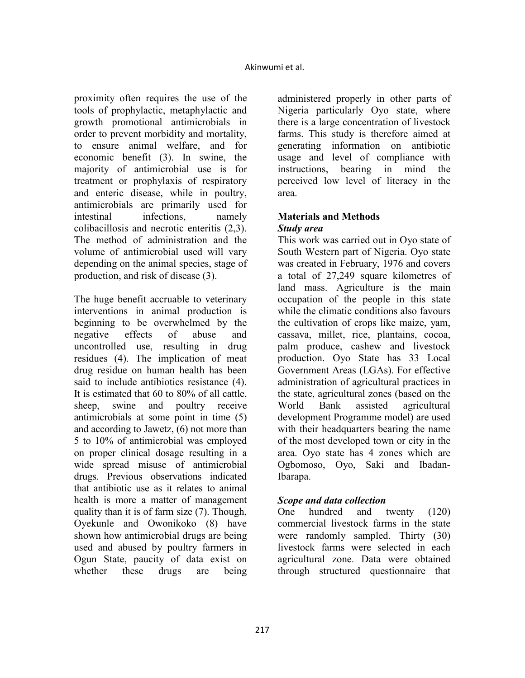proximity often requires the use of the tools of prophylactic, metaphylactic and growth promotional antimicrobials in order to prevent morbidity and mortality, to ensure animal welfare, and for economic benefit (3). In swine, the majority of antimicrobial use is for treatment or prophylaxis of respiratory and enteric disease, while in poultry, antimicrobials are primarily used for intestinal infections, namely colibacillosis and necrotic enteritis (2,3). The method of administration and the volume of antimicrobial used will vary depending on the animal species, stage of production, and risk of disease (3).

The huge benefit accruable to veterinary interventions in animal production is beginning to be overwhelmed by the negative effects of abuse and uncontrolled use, resulting in drug residues (4). The implication of meat drug residue on human health has been said to include antibiotics resistance (4). It is estimated that 60 to 80% of all cattle, sheep, swine and poultry receive antimicrobials at some point in time (5) and according to Jawetz, (6) not more than 5 to 10% of antimicrobial was employed on proper clinical dosage resulting in a wide spread misuse of antimicrobial drugs. Previous observations indicated that antibiotic use as it relates to animal health is more a matter of management quality than it is of farm size (7). Though, Oyekunle and Owonikoko (8) have shown how antimicrobial drugs are being used and abused by poultry farmers in Ogun State, paucity of data exist on whether these drugs are being

administered properly in other parts of Nigeria particularly Oyo state, where there is a large concentration of livestock farms. This study is therefore aimed at generating information on antibiotic usage and level of compliance with instructions, bearing in mind the perceived low level of literacy in the area.

## **Materials and Methods** *Study area*

This work was carried out in Oyo state of South Western part of Nigeria. Oyo state was created in February, 1976 and covers a total of 27,249 square kilometres of land mass. Agriculture is the main occupation of the people in this state while the climatic conditions also favours the cultivation of crops like maize, yam, cassava, millet, rice, plantains, cocoa, palm produce, cashew and livestock production. Oyo State has 33 Local Government Areas (LGAs). For effective administration of agricultural practices in the state, agricultural zones (based on the World Bank assisted agricultural development Programme model) are used with their headquarters bearing the name of the most developed town or city in the area. Oyo state has 4 zones which are Ogbomoso, Oyo, Saki and Ibadan-Ibarapa.

# *Scope and data collection*

One hundred and twenty (120) commercial livestock farms in the state were randomly sampled. Thirty (30) livestock farms were selected in each agricultural zone. Data were obtained through structured questionnaire that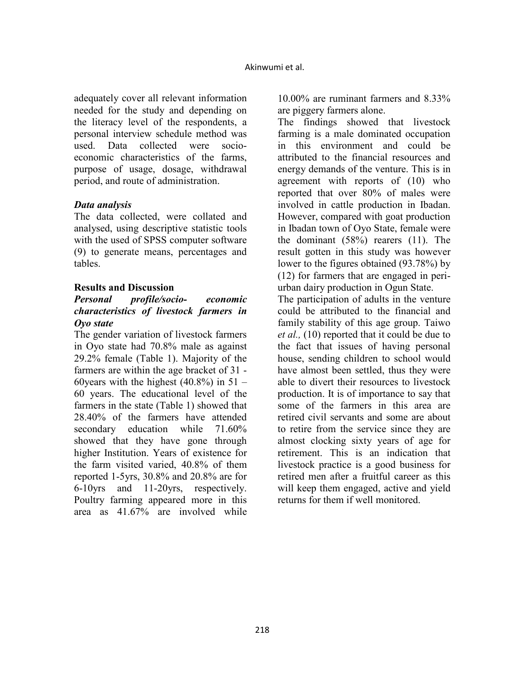adequately cover all relevant information needed for the study and depending on the literacy level of the respondents, a personal interview schedule method was used. Data collected were socioeconomic characteristics of the farms, purpose of usage, dosage, withdrawal period, and route of administration.

## *Data analysis*

The data collected, were collated and analysed, using descriptive statistic tools with the used of SPSS computer software (9) to generate means, percentages and tables.

### **Results and Discussion**

## *Personal profile/socio- economic characteristics of livestock farmers in Oyo state*

The gender variation of livestock farmers in Oyo state had 70.8% male as against 29.2% female (Table 1). Majority of the farmers are within the age bracket of 31 - 60 years with the highest  $(40.8\%)$  in 51 – 60 years. The educational level of the farmers in the state (Table 1) showed that 28.40% of the farmers have attended secondary education while 71.60% showed that they have gone through higher Institution. Years of existence for the farm visited varied, 40.8% of them reported 1-5yrs, 30.8% and 20.8% are for 6-10yrs and 11-20yrs, respectively. Poultry farming appeared more in this area as 41.67% are involved while

10.00% are ruminant farmers and 8.33% are piggery farmers alone.

The findings showed that livestock farming is a male dominated occupation in this environment and could be attributed to the financial resources and energy demands of the venture. This is in agreement with reports of (10) who reported that over 80% of males were involved in cattle production in Ibadan. However, compared with goat production in Ibadan town of Oyo State, female were the dominant (58%) rearers (11). The result gotten in this study was however lower to the figures obtained (93.78%) by (12) for farmers that are engaged in periurban dairy production in Ogun State.

The participation of adults in the venture could be attributed to the financial and family stability of this age group. Taiwo *et al.,* (10) reported that it could be due to the fact that issues of having personal house, sending children to school would have almost been settled, thus they were able to divert their resources to livestock production. It is of importance to say that some of the farmers in this area are retired civil servants and some are about to retire from the service since they are almost clocking sixty years of age for retirement. This is an indication that livestock practice is a good business for retired men after a fruitful career as this will keep them engaged, active and yield returns for them if well monitored.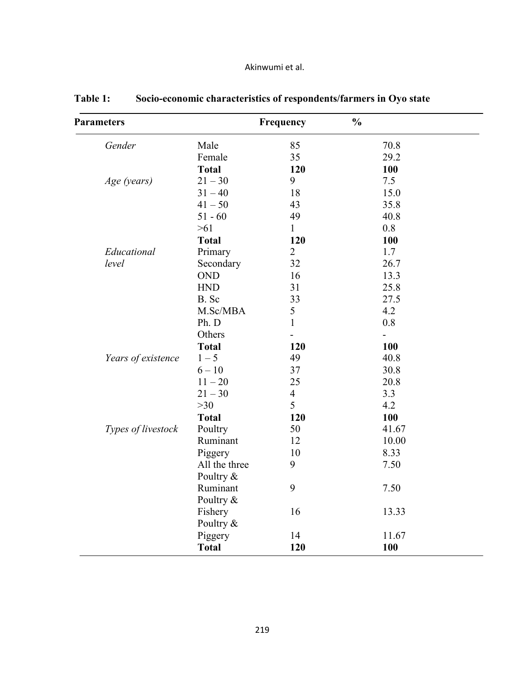| <b>Parameters</b>  |               | Frequency      | $\frac{0}{0}$  |  |
|--------------------|---------------|----------------|----------------|--|
| Gender             | Male          | 85             | 70.8           |  |
|                    | Female        | 35             | 29.2           |  |
|                    | <b>Total</b>  | 120            | 100            |  |
| Age (years)        | $21 - 30$     | 9              | 7.5            |  |
|                    | $31 - 40$     | 18             | 15.0           |  |
|                    | $41 - 50$     | 43             | 35.8           |  |
|                    | $51 - 60$     | 49             | 40.8           |  |
|                    | $>61$         | $\mathbf{1}$   | 0.8            |  |
|                    | <b>Total</b>  | 120            | 100            |  |
| Educational        | Primary       | $\overline{2}$ | 1.7            |  |
| level              | Secondary     | 32             | 26.7           |  |
|                    | <b>OND</b>    | 16             | 13.3           |  |
|                    | <b>HND</b>    | 31             | 25.8           |  |
|                    | B. Sc         | 33             | 27.5           |  |
|                    | M.Sc/MBA      | $\mathfrak s$  | 4.2            |  |
|                    | Ph. D         | $\mathbf{1}$   | 0.8            |  |
|                    | Others        |                | $\overline{a}$ |  |
|                    | <b>Total</b>  | 120            | 100            |  |
| Years of existence | $1 - 5$       | 49             | 40.8           |  |
|                    | $6 - 10$      | 37             | 30.8           |  |
|                    | $11 - 20$     | 25             | 20.8           |  |
|                    | $21 - 30$     | $\overline{4}$ | 3.3            |  |
|                    | $>30$         | 5              | 4.2            |  |
|                    | <b>Total</b>  | 120            | 100            |  |
| Types of livestock | Poultry       | 50             | 41.67          |  |
|                    | Ruminant      | 12             | 10.00          |  |
|                    | Piggery       | 10             | 8.33           |  |
|                    | All the three | 9              | 7.50           |  |
|                    | Poultry &     |                |                |  |
|                    | Ruminant      | 9              | 7.50           |  |
|                    | Poultry &     |                |                |  |
|                    | Fishery       | 16             | 13.33          |  |
|                    | Poultry &     |                |                |  |
|                    | Piggery       | 14             | 11.67          |  |
|                    | <b>Total</b>  | 120            | 100            |  |

**Table 1: Socio-economic characteristics of respondents/farmers in Oyo state**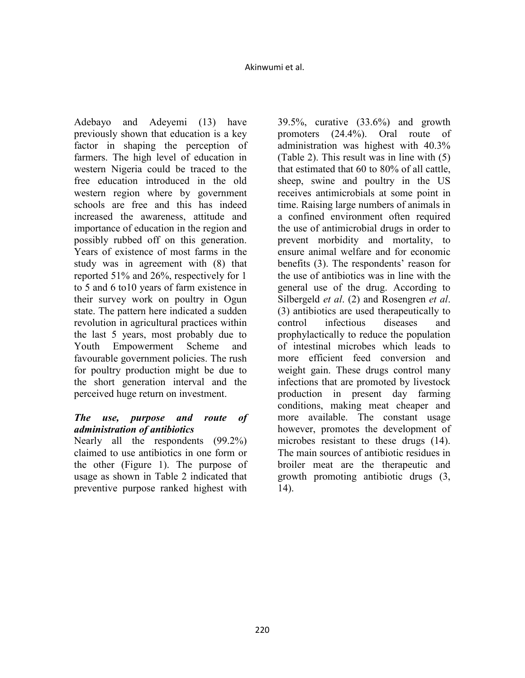Adebayo and Adeyemi (13) have previously shown that education is a key factor in shaping the perception of farmers. The high level of education in western Nigeria could be traced to the free education introduced in the old western region where by government schools are free and this has indeed increased the awareness, attitude and importance of education in the region and possibly rubbed off on this generation. Years of existence of most farms in the study was in agreement with (8) that reported 51% and 26%, respectively for 1 to 5 and 6 to10 years of farm existence in their survey work on poultry in Ogun state. The pattern here indicated a sudden revolution in agricultural practices within the last 5 years, most probably due to Youth Empowerment Scheme and favourable government policies. The rush for poultry production might be due to the short generation interval and the perceived huge return on investment.

## *The use, purpose and route of administration of antibiotics*

Nearly all the respondents (99.2%) claimed to use antibiotics in one form or the other (Figure 1). The purpose of usage as shown in Table 2 indicated that preventive purpose ranked highest with

39.5%, curative (33.6%) and growth promoters (24.4%). Oral route of administration was highest with 40.3% (Table 2). This result was in line with (5) that estimated that 60 to 80% of all cattle, sheep, swine and poultry in the US receives antimicrobials at some point in time. Raising large numbers of animals in a confined environment often required the use of antimicrobial drugs in order to prevent morbidity and mortality, to ensure animal welfare and for economic benefits (3). The respondents' reason for the use of antibiotics was in line with the general use of the drug. According to Silbergeld *et al*. (2) and Rosengren *et al*. (3) antibiotics are used therapeutically to control infectious diseases and prophylactically to reduce the population of intestinal microbes which leads to more efficient feed conversion and weight gain. These drugs control many infections that are promoted by livestock production in present day farming conditions, making meat cheaper and more available. The constant usage however, promotes the development of microbes resistant to these drugs (14). The main sources of antibiotic residues in broiler meat are the therapeutic and growth promoting antibiotic drugs (3, 14).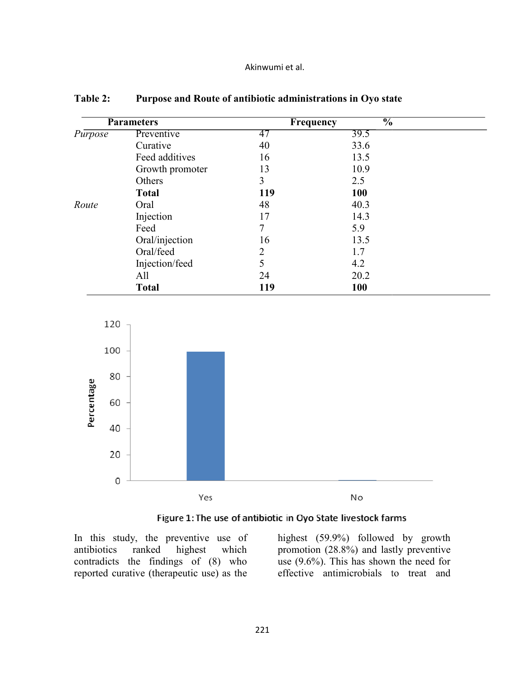|  | Akinwumi et al. |  |  |
|--|-----------------|--|--|
|--|-----------------|--|--|

| Table 2: |                   |                | Purpose and Route of antibiotic administrations in Oyo state |  |
|----------|-------------------|----------------|--------------------------------------------------------------|--|
|          | <b>Parameters</b> |                | $\frac{1}{2}$<br>Frequency                                   |  |
| Purpose  | Preventive        | 47             | 39.5                                                         |  |
|          | Curative          | 40             | 33.6                                                         |  |
|          | Feed additives    | 16             | 13.5                                                         |  |
|          | Growth promoter   | 13             | 10.9                                                         |  |
|          | Others            | 3              | 2.5                                                          |  |
|          | <b>Total</b>      | 119            | <b>100</b>                                                   |  |
| Route    | Oral              | 48             | 40.3                                                         |  |
|          | Injection         | 17             | 14.3                                                         |  |
|          | Feed              | 7              | 5.9                                                          |  |
|          | Oral/injection    | 16             | 13.5                                                         |  |
|          | Oral/feed         | $\overline{2}$ | 1.7                                                          |  |
|          | Injection/feed    | 5              | 4.2                                                          |  |
|          | All               | 24             | 20.2                                                         |  |
|          | <b>Total</b>      | 119            | 100                                                          |  |





In this study, the preventive use of antibiotics ranked contradicts the findings of  $(8)$  who reported curative (therapeutic use) as the highest which

highest (59.9%) followed by growth promotion (28.8%) and lastly preventive use  $(9.6\%)$ . This has shown the need for effective antimicrobials to treat and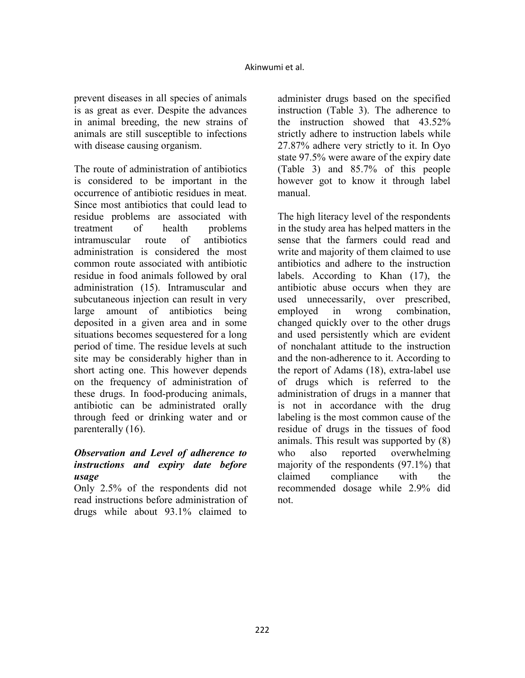prevent diseases in all species of animals is as great as ever. Despite the advances in animal breeding, the new strains of animals are still susceptible to infections with disease causing organism.

The route of administration of antibiotics is considered to be important in the occurrence of antibiotic residues in meat. Since most antibiotics that could lead to residue problems are associated with treatment of health problems intramuscular route of antibiotics administration is considered the most common route associated with antibiotic residue in food animals followed by oral administration (15). Intramuscular and subcutaneous injection can result in very large amount of antibiotics being deposited in a given area and in some situations becomes sequestered for a long period of time. The residue levels at such site may be considerably higher than in short acting one. This however depends on the frequency of administration of these drugs. In food-producing animals, antibiotic can be administrated orally through feed or drinking water and or parenterally (16).

## *Observation and Level of adherence to instructions and expiry date before usage*

Only 2.5% of the respondents did not read instructions before administration of drugs while about 93.1% claimed to

administer drugs based on the specified instruction (Table 3). The adherence to the instruction showed that 43.52% strictly adhere to instruction labels while 27.87% adhere very strictly to it. In Oyo state 97.5% were aware of the expiry date (Table 3) and 85.7% of this people however got to know it through label manual.

The high literacy level of the respondents in the study area has helped matters in the sense that the farmers could read and write and majority of them claimed to use antibiotics and adhere to the instruction labels. According to Khan (17), the antibiotic abuse occurs when they are used unnecessarily, over prescribed, employed in wrong combination, changed quickly over to the other drugs and used persistently which are evident of nonchalant attitude to the instruction and the non-adherence to it. According to the report of Adams (18), extra-label use of drugs which is referred to the administration of drugs in a manner that is not in accordance with the drug labeling is the most common cause of the residue of drugs in the tissues of food animals. This result was supported by (8) who also reported overwhelming majority of the respondents (97.1%) that claimed compliance with the recommended dosage while 2.9% did not.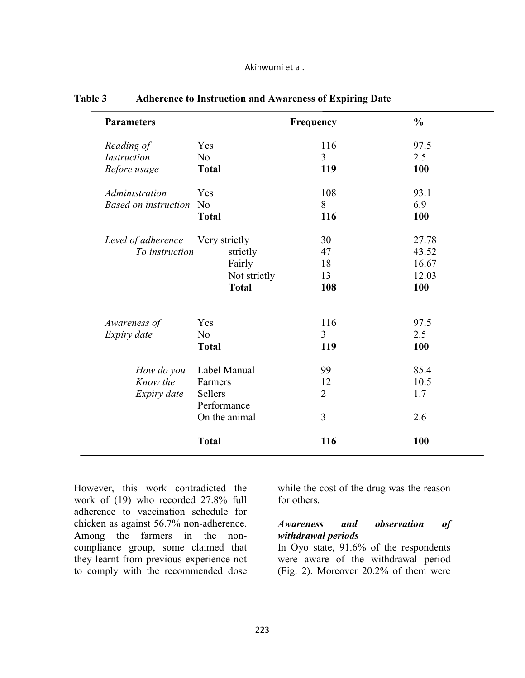|  | Akinwumi et al. |  |  |  |
|--|-----------------|--|--|--|
|--|-----------------|--|--|--|

| <b>Parameters</b>           |                        | Frequency      | $\frac{0}{0}$ |
|-----------------------------|------------------------|----------------|---------------|
| Reading of                  | Yes                    | 116            | 97.5          |
| <b>Instruction</b>          | N <sub>0</sub>         | $\overline{3}$ | 2.5           |
| Before usage                | <b>Total</b>           | 119            | 100           |
| Administration              | Yes                    | 108            | 93.1          |
| <b>Based on instruction</b> | N <sub>0</sub>         | 8              | 6.9           |
|                             | <b>Total</b>           | 116            | 100           |
| Level of adherence          | Very strictly          | 30             | 27.78         |
| To instruction              | strictly               | 47             | 43.52         |
|                             | Fairly                 | 18             | 16.67         |
|                             | Not strictly           | 13             | 12.03         |
|                             | <b>Total</b>           | 108            | 100           |
| Awareness of                | Yes                    | 116            | 97.5          |
| Expiry date                 | N <sub>o</sub>         | $\overline{3}$ | 2.5           |
|                             | <b>Total</b>           | 119            | 100           |
| How do you                  | Label Manual           | 99             | 85.4          |
| Know the                    | Farmers                | 12             | 10.5          |
| Expiry date                 | Sellers<br>Performance | $\overline{2}$ | 1.7           |
|                             | On the animal          | 3              | 2.6           |
|                             | <b>Total</b>           | 116            | 100           |

### **Table 3 Adherence to Instruction and Awareness of Expiring Date**

However, this work contradicted the work of (19) who recorded 27.8% full adherence to vaccination schedule for chicken as against 56.7% non-adherence. Among the farmers in the noncompliance group, some claimed that they learnt from previous experience not to comply with the recommended dose while the cost of the drug was the reason for others.

## *Awareness and observation of withdrawal periods*

In Oyo state, 91.6% of the respondents were aware of the withdrawal period (Fig. 2). Moreover 20.2% of them were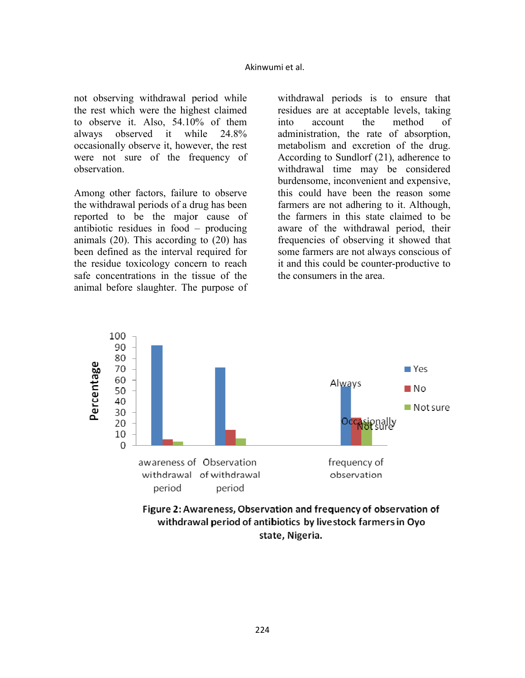not observing withdrawal period while the rest which were the highest claimed to observe it. Also,  $54.10\%$  of them always observed it while 24.8% occasionally observe it, however, the rest were not sure of the frequency of observation.

Among other factors, failure to observe the withdrawal periods of a drug has been reported to be the major cause of antibiotic residues in food – – producing animals  $(20)$ . This according to  $(20)$  has been defined as the interval required for the residue toxicology concern to reach safe concentrations in the tissue of the animal before slaughter. The purpose of

withdrawal periods is to ensure that residues are at acceptable levels, taking into account the administration, the rate of absorption, metabolism and excretion of the drug. According to Sundlorf  $(21)$ , adherence to withdrawal time may be considered burdensome, inconvenient and expensive, this could have been the reason some farmers are not adhering to it. Although, the farmers in this state claimed to be aware of the withdrawal period, their frequencies of observing it showed that some farmers are not always conscious of it and this could be counter -productive to the consumers in the area. method of



Figure 2: Awareness, Observation and frequency of observation of withdrawal period of antibiotics by livestock farmers in Oyo state, Nigeria.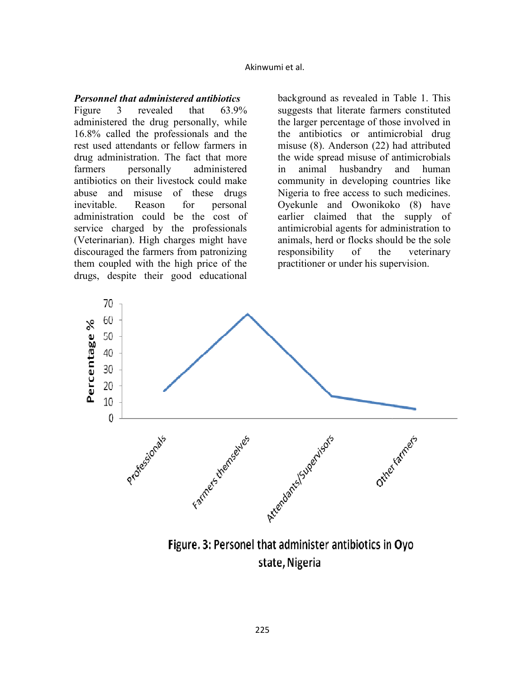#### **Personnel that administered antibiotics**

Figure 3 revealed that administered the drug personally, while 16.8% called the professionals professionals and the rest used attendants or fellow farmers in drug administration. The fact that more farmers personally antibiotics on their livestock could make abuse and misuse of these drugs inevitable. Reason for administration could be the cost of service charged by the professionals (Veterinarian). High charges might have discouraged the farmers from patronizing them coupled with the high price of the drugs, despite their good educational  $63.9%$ administered personal

background as revealed in Table 1. This suggests that literate farmers constituted the larger percentage of those involved in the antibiotics or antimicrobial drug misuse  $(8)$ . Anderson  $(22)$  had attributed the wide spread misuse of antimicrobials in animal husbandry an community in developing countries like Nigeria to free access to such medicines. Oyekunle and Owonikoko (8) have earlier claimed that the supply of antimicrobial agents for administration to animals, herd or flocks should be the sole responsibility of the practitioner or under his supervision. human veterinary



Figure. 3: Personel that administer antibiotics in Oyo state, Nigeria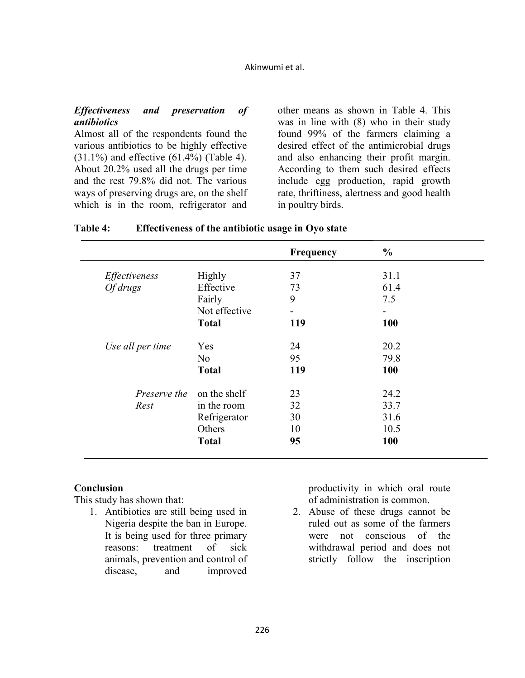#### *Effectiveness and preservation of antibiotics*

Almost all of the respondents found the various antibiotics to be highly effective (31.1%) and effective (61.4%) (Table 4). About 20.2% used all the drugs per time and the rest 79.8% did not. The various ways of preserving drugs are, on the shelf which is in the room, refrigerator and

other means as shown in Table 4. This was in line with (8) who in their study found 99% of the farmers claiming a desired effect of the antimicrobial drugs and also enhancing their profit margin. According to them such desired effects include egg production, rapid growth rate, thriftiness, alertness and good health in poultry birds.

|                                  |                | Frequency | $\frac{0}{0}$ |
|----------------------------------|----------------|-----------|---------------|
| Effectiveness                    | <b>Highly</b>  | 37        | 31.1          |
| Of drugs                         | Effective      | 73        | 61.4          |
|                                  | Fairly         | 9         | 7.5           |
|                                  | Not effective  |           |               |
|                                  | <b>Total</b>   | 119       | <b>100</b>    |
| Use all per time                 | Yes            | 24        | 20.2          |
|                                  | N <sub>o</sub> | 95        | 79.8          |
|                                  | <b>Total</b>   | 119       | 100           |
| <i>Preserve the</i> on the shelf |                | 23        | 24.2          |
| Rest                             | in the room    | 32        | 33.7          |
|                                  | Refrigerator   | 30        | 31.6          |
|                                  | Others         | 10        | 10.5          |
|                                  | <b>Total</b>   | 95        | 100           |

### **Table 4: Effectiveness of the antibiotic usage in Oyo state**

#### **Conclusion**

This study has shown that:

1. Antibiotics are still being used in Nigeria despite the ban in Europe. It is being used for three primary reasons: treatment of sick animals, prevention and control of disease, and improved productivity in which oral route of administration is common.

2. Abuse of these drugs cannot be ruled out as some of the farmers were not conscious of the withdrawal period and does not strictly follow the inscription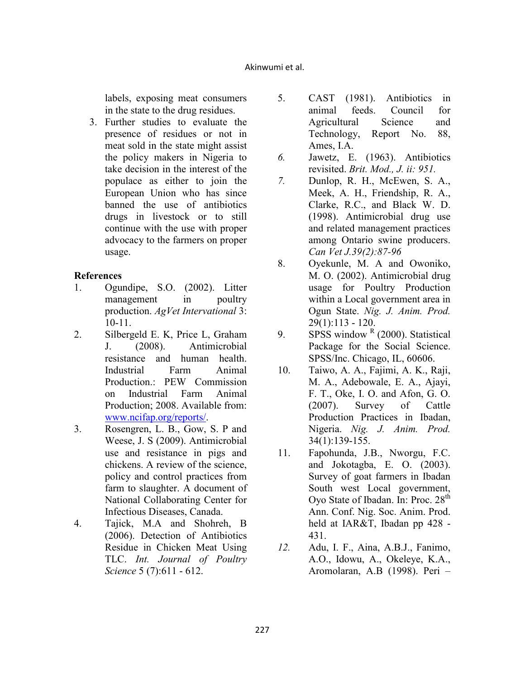labels, exposing meat consumers in the state to the drug residues.

3. Further studies to evaluate the presence of residues or not in meat sold in the state might assist the policy makers in Nigeria to take decision in the interest of the populace as either to join the European Union who has since banned the use of antibiotics drugs in livestock or to still continue with the use with proper advocacy to the farmers on proper usage.

# **References**

- 1. Ogundipe, S.O. (2002). Litter management in poultry production. *AgVet Intervational* 3: 10-11.
- 2. Silbergeld E. K, Price L, Graham J. (2008). Antimicrobial resistance and human health. Industrial Farm Animal Production.: PEW Commission on Industrial Farm Animal Production; 2008. Available from: www.ncifap.org/reports/.
- 3. Rosengren, L. B., Gow, S. P and Weese, J. S (2009). Antimicrobial use and resistance in pigs and chickens. A review of the science, policy and control practices from farm to slaughter. A document of National Collaborating Center for Infectious Diseases, Canada.
- 4. Tajick, M.A and Shohreh, B (2006). Detection of Antibiotics Residue in Chicken Meat Using TLC. *Int. Journal of Poultry Science* 5 (7):611 - 612.
- 5. CAST (1981). Antibiotics in animal feeds. Council for Agricultural Science and Technology, Report No. 88, Ames, I.A.
- *6.* Jawetz, E. (1963). Antibiotics revisited. *Brit. Mod., J. ii: 951.*
- *7.* Dunlop, R. H., McEwen, S. A., Meek, A. H., Friendship, R. A., Clarke, R.C., and Black W. D. (1998). Antimicrobial drug use and related management practices among Ontario swine producers. *Can Vet J.39(2):87-96*
- 8. Oyekunle, M. A and Owoniko, M. O. (2002). Antimicrobial drug usage for Poultry Production within a Local government area in Ogun State. *Nig. J. Anim. Prod.* 29(1):113 - 120.
- 9. SPSS window  $R(2000)$ . Statistical Package for the Social Science. SPSS/Inc. Chicago, IL, 60606.
- 10. Taiwo, A. A., Fajimi, A. K., Raji, M. A., Adebowale, E. A., Ajayi, F. T., Oke, I. O. and Afon, G. O. (2007). Survey of Cattle Production Practices in Ibadan, Nigeria. *Nig. J. Anim. Prod.* 34(1):139-155.
- 11. Fapohunda, J.B., Nworgu, F.C. and Jokotagba, E. O. (2003). Survey of goat farmers in Ibadan South west Local government, Oyo State of Ibadan. In: Proc. 28<sup>th</sup> Ann. Conf. Nig. Soc. Anim. Prod. held at IAR&T, Ibadan pp 428 - 431.
- *12.* Adu, I. F., Aina, A.B.J., Fanimo, A.O., Idowu, A., Okeleye, K.A., Aromolaran, A.B (1998). Peri –